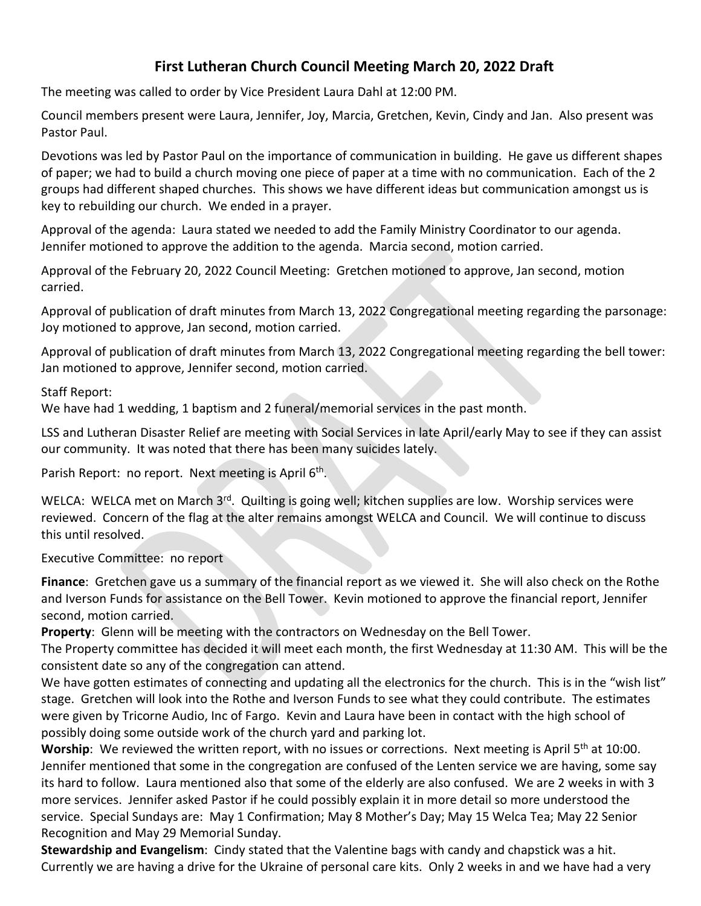# **First Lutheran Church Council Meeting March 20, 2022 Draft**

The meeting was called to order by Vice President Laura Dahl at 12:00 PM.

Council members present were Laura, Jennifer, Joy, Marcia, Gretchen, Kevin, Cindy and Jan. Also present was Pastor Paul.

Devotions was led by Pastor Paul on the importance of communication in building. He gave us different shapes of paper; we had to build a church moving one piece of paper at a time with no communication. Each of the 2 groups had different shaped churches. This shows we have different ideas but communication amongst us is key to rebuilding our church. We ended in a prayer.

Approval of the agenda: Laura stated we needed to add the Family Ministry Coordinator to our agenda. Jennifer motioned to approve the addition to the agenda. Marcia second, motion carried.

Approval of the February 20, 2022 Council Meeting: Gretchen motioned to approve, Jan second, motion carried.

Approval of publication of draft minutes from March 13, 2022 Congregational meeting regarding the parsonage: Joy motioned to approve, Jan second, motion carried.

Approval of publication of draft minutes from March 13, 2022 Congregational meeting regarding the bell tower: Jan motioned to approve, Jennifer second, motion carried.

Staff Report:

We have had 1 wedding, 1 baptism and 2 funeral/memorial services in the past month.

LSS and Lutheran Disaster Relief are meeting with Social Services in late April/early May to see if they can assist our community. It was noted that there has been many suicides lately.

Parish Report: no report. Next meeting is April 6<sup>th</sup>.

WELCA: WELCA met on March 3<sup>rd</sup>. Quilting is going well; kitchen supplies are low. Worship services were reviewed. Concern of the flag at the alter remains amongst WELCA and Council. We will continue to discuss this until resolved.

Executive Committee: no report

**Finance**: Gretchen gave us a summary of the financial report as we viewed it. She will also check on the Rothe and Iverson Funds for assistance on the Bell Tower. Kevin motioned to approve the financial report, Jennifer second, motion carried.

**Property**: Glenn will be meeting with the contractors on Wednesday on the Bell Tower.

The Property committee has decided it will meet each month, the first Wednesday at 11:30 AM. This will be the consistent date so any of the congregation can attend.

We have gotten estimates of connecting and updating all the electronics for the church. This is in the "wish list" stage. Gretchen will look into the Rothe and Iverson Funds to see what they could contribute. The estimates were given by Tricorne Audio, Inc of Fargo. Kevin and Laura have been in contact with the high school of possibly doing some outside work of the church yard and parking lot.

**Worship**: We reviewed the written report, with no issues or corrections. Next meeting is April 5<sup>th</sup> at 10:00. Jennifer mentioned that some in the congregation are confused of the Lenten service we are having, some say its hard to follow. Laura mentioned also that some of the elderly are also confused. We are 2 weeks in with 3 more services. Jennifer asked Pastor if he could possibly explain it in more detail so more understood the service. Special Sundays are: May 1 Confirmation; May 8 Mother's Day; May 15 Welca Tea; May 22 Senior Recognition and May 29 Memorial Sunday.

**Stewardship and Evangelism**: Cindy stated that the Valentine bags with candy and chapstick was a hit. Currently we are having a drive for the Ukraine of personal care kits. Only 2 weeks in and we have had a very